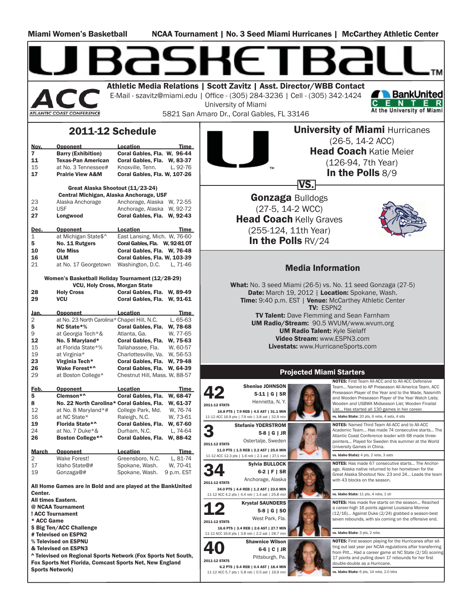Miami Women's Basketball NCAA Tournament | No. 3 Seed Miami Hurricanes | McCarthey Athletic Center

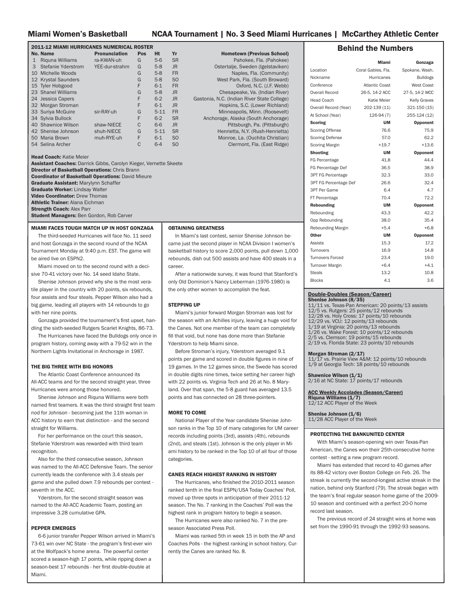#### Miami Women's Basketball NCAA Tournament | No. 3 Seed Miami Hurricanes | McCarthey Athletic Center

Hometown (Previous School) Pahokee, Fla. (Pahokee) Ostertalje, Sweden (Igelstaviken) Naples, Fla. (Community) West Park, Fla. (South Broward) Oxford, N.C. (J.F. Webb) Chesapeake, Va. (Indian River) Gastonia, N.C. (Indian River State College) Hopkins, S.C. (Lower Richland) Minneapolis, Minn. (Roosevelt) Anchorage, Alaska (South Anchorage) Pittsburgh, Pa. (Pittsburgh) Henrietta, N.Y. (Rush-Henrietta) Monroe, La. (Ouchita Christian) Clermont, Fla. (East Ridge)

| <b>2011-12 MIAMI HURRICANES NUMERICAL ROSTER</b> |                      |     |           |                |  |
|--------------------------------------------------|----------------------|-----|-----------|----------------|--|
| No. Name                                         | <b>Pronunciation</b> | Pos | <b>Ht</b> | Yr             |  |
| $\mathbf{1}$<br>Riguna Williams                  | ra-KWAN-uh           | G   | $5-6$     | <b>SR</b>      |  |
| 3<br>Stefanie Yderstrom                          | YEE-dur-strahm       | G   | $5-8$     | <b>JR</b>      |  |
| Michelle Woods<br>10                             |                      | G   | $5-8$     | <b>FR</b>      |  |
| 12 Krystal Saunders                              |                      | G   | $5-8$     | S <sub>O</sub> |  |
| 15 Tyler Hobgood                                 |                      | F   | $6 - 1$   | <b>FR</b>      |  |
| 23 Shanel Williams                               |                      | G   | $5-8$     | <b>JR</b>      |  |
| 24 Jessica Capers                                |                      | F   | $6 - 2$   | <b>JR</b>      |  |
| 32 Morgan Stroman                                |                      | F   | $6 - 1$   | JR.            |  |
| 33 Suriya McGuire                                | sir-RAY-uh           | G   | $5 - 11$  | <b>FR</b>      |  |
| 34 Sylvia Bullock                                |                      | F   | $6 - 2$   | <b>SR</b>      |  |
| 40 Shawnice Wilson                               | shaw-NIECE           | C   | $6-6$     | <b>JR</b>      |  |
| 42 Shenise Johnson                               | shuh-NIECE           | G   | $5 - 11$  | <b>SR</b>      |  |
| 50 Maria Brown                                   | muh-RYE-uh           | F   | $6 - 1$   | S <sub>O</sub> |  |
| 54 Selina Archer                                 |                      | C   | $6 - 4$   | S <sub>O</sub> |  |

Head Coach: Katie Meier

Assistant Coaches: Darrick Gibbs, Carolyn Kieger, Vernette Skeete Director of Basketball Operations: Chris Brann Coordinator of Basketball Operations: David Mieure Graduate Assistant: Marylynn Schaffer Graduate Worker: Lindsay Walter Video Coordinator: Drew Thomas Athletic Trainer: Alana Eichman **Strength Coach: Alex Parr** Student Managers: Ben Gordon, Rob Carver

#### MIAMI FACES TOUGH MATCH UP IN HOST GONZAGA

 The third-seeded Hurricanes will face No. 11 seed and host Gonzaga in the second round of the NCAA Tournament Monday at 9:40 p.m. EST. The game will be aired live on ESPN2.

 Miami moved on to the second round with a decisive 70-41 victory over No. 14 seed Idaho State.

 Shenise Johnson proved why she is the most veratile player in the country with 20 points, six rebounds, four assists and four steals. Pepper Wilson also had a big game, leading all players with 14 rebounds to go with her nine points.

Gonzaga provided the tournament's first upset, handling the sixth-seeded Rutgers Scarlet Knights, 86-73.

 The Hurricanes have faced the Bulldogs only once in program history, coming away with a 79-52 win in the Northern Lights Invitational in Anchorage in 1987.

#### THE BIG THREE WITH BIG HONORS

 The Atlantic Coast Conference announced its All-ACC teams and for the second straight year, three Hurricanes were among those honored.

 Shenise Johnson and Riquna Williams were both named first teamers. It was the third straight first team nod for Johnson - becoming just the 11th woman in ACC history to earn that distinction - and the second straight for Williams.

 For her performance on the court this season, Stefanie Yderstrom was rewarded with third team recognition.

 Also for the third consecutive season, Johnson was named to the All-ACC Defensive Team. The senior currently leads the conference with 3.4 steals per game and she pulled down 7.9 rebounds per contest seventh in the ACC.

 Yderstrom, for the second straight season was named to the All-ACC Academic Team, posting an impressive 3.28 cumulative GPA.

#### PEPPER EMERGES

 6-6 junior transfer Pepper Wilson arrived in Miami's 73-61 win over NC State - the program's first-ever win at the Wolfpack's home arena. The powerful center scored a season-high 17 points, while ripping down a season-best 17 rebounds - her first double-double at Miami.

#### OBTAINING GREATNESS

 In Miami's last contest, senior Shenise Johnson became just the second player in NCAA Division I women's basketball history to score 2,000 points, pull down 1,000 rebounds, dish out 500 assists and have 400 steals in a career.

 After a nationwide survey, it was found that Stanford's only Old Dominion's Nancy Lieberman (1976-1980) is the only other women to accomplish the feat.

#### STEPPING UP

 Miami's junior forward Morgan Stroman was lost for the season with an Achilles injury, leaving a huge void for the Canes. Not one member of the team can completely fill that void, but none has done more than Stefanie Yderstrom to help Miami since.

 Before Stroman's injury, Yderstrom averaged 9.1 points per game and scored in double figures in nine of 19 games. In the 12 games since, the Swede has scored in double digits nine times, twice setting her career high with 22 points vs. Virginia Tech and 26 at No. 8 Maryland. Over that span, the 5-8 guard has averaged 13.5 points and has connected on 28 three-pointers.

#### MORE TO COME

 National Player of the Year candidate Shenise Johnson ranks in the Top 10 of many categories for UM career records including points (3rd), assists (4th), rebounds (2nd), and steals (1st). Johnson is the only player in Miami history to be ranked in the Top 10 of all four of those categories.

#### CANES REACH HIGHEST RANKING IN HISTORY

The Hurricanes, who finished the 2010-2011 season ranked tenth in the final ESPN/USA Today Coaches' Poll, moved up three spots in anticipation of their 2011-12 season. The No. 7 ranking in the Coaches' Poll was the highest rank in program history to begin a season.

 The Hurricanes were also ranked No. 7 in the preseason Associated Press Poll.

 Miami was ranked 5th in week 15 in both the AP and Coaches Polls - the highest ranking in school history. Currently the Canes are ranked No. 8.

#### Behind the Numbers

|                              | Miami              | Gonzaga             |
|------------------------------|--------------------|---------------------|
| Location                     | Coral Gables, Fla. | Spokane, Wash.      |
| Nickname                     | <b>Hurricanes</b>  | <b>Bulldogs</b>     |
| Conference                   | Atlantic Coast     | West Coast          |
| Overall Record               | 26-5, 14-2 ACC     | 27-5, 14-2 WCC      |
| Head Coach                   | Katie Meier        | <b>Kelly Graves</b> |
| Overall Record (Year)        | 202-139 (11)       | 321-150 (15)        |
| At School (Year)             | $126-94(7)$        | 255-124 (12)        |
| Scoring                      | UM                 | Opponent            |
| <b>Scoring Offense</b>       | 76.6               | 75.9                |
| <b>Scoring Defense</b>       | 57.0               | 62.2                |
| <b>Scoring Margin</b>        | $+19.7$            | $+13.6$             |
| Shooting                     | <b>UM</b>          | Opponent            |
| FG Percentage                | 41.8               | 44.4                |
| FG Percentage Def            | 36.5               | 38.9                |
| <b>3PT FG Percentage</b>     | 32.3               | 33.0                |
| <b>3PT FG Percentage Def</b> | 26.6               | 32.4                |
| <b>3PT Per Game</b>          | 6.4                | 4.7                 |
| FT Percentage                | 70.4               | 72.2                |
| Rebounding                   | <b>UM</b>          | Opponent            |
| Rebounding                   | 43.3               | 42.2                |
| Opp Rebounding               | 38.0               | 35.4                |
| Rebounding Margin            | $+5.4$             | $+6.8$              |
| Other                        | UM                 | Opponent            |
| Assists                      | 15.3               | 17.2                |
| Turnovers                    | 16.9               | 14.8                |
| Turnovers Forced             | 23.4               | 19.0                |
| Turnover Margin              | $+6.4$             | $+4.1$              |
| <b>Steals</b>                | 13.2               | 10.8                |
| <b>Blocks</b>                | 4.1                | 3.6                 |

## Double-Doubles (Season/Career) Shenise Johnson (8/35)

11/11 vs. Texas-Pan American: 20 points/13 assists 12/5 vs. Rutgers: 25 points/12 rebounds 12/28 vs. Holy Cross: 17 points/10 rebounds 12/29 vs. VCU: 12 points/13 rebounds 1/19 at Virginia: 20 points/13 rebounds 1/26 vs. Wake Forest: 10 points/12 rebounds 5 vs. Clemson: 19 points/15 rebounds 2/19 vs. Florida State: 23 points/10 rebounds

**Morgan Stroman (2/17)**<br>11/17 vs. Prairie View A&M: 12 points/10 rebounds<br>1/9 at Georgia Tech: 18 points/10 rebounds

**Shawnice Wilson (1/1)**<br>2/16 at NC State: 17 points/17 rebounds

ACC Weekly Accolades (Season/Career) **Riquna Williams (1/7)**<br>12/12 ACC Player of the Week

**Shenise Johnson (1/6)**<br>11/28 ACC Player of the Week

#### PROTECTING THE BANKUNITED CENTER

 With Miami's season-opening win over Texas-Pan American, the Canes won their 25th-consecutive home contest - setting a new program record.

 Miami has extended that record to 40 games after its 88-42 victory over Boston College on Feb. 26. The streak is currently the second-longest active streak in the nation, behind only Stanford (79). The streak began with the team's final regular season home game of the 2009-10 season and continued with a perfect 20-0 home record last season.

 The previous record of 24 straight wins at home was set from the 1990-91 through the 1992-93 seasons.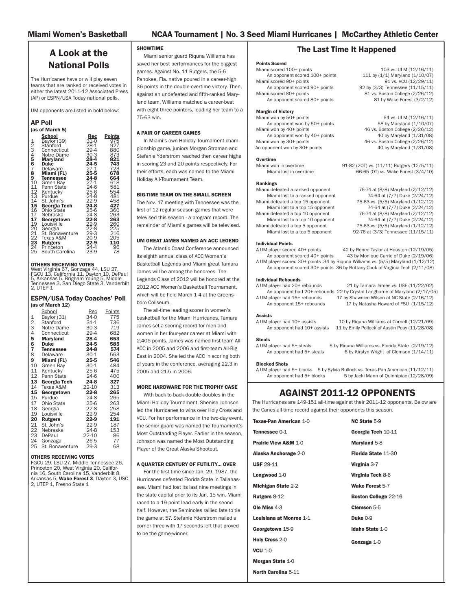1988-89

#### FINAL ACC STANDINGS

| <b>School</b>         | Conf.    | Pct. | <b>Overall</b> | Pct. |
|-----------------------|----------|------|----------------|------|
| <b>Duke</b>           | $15 - 1$ | .938 | $24 - 4$       | .857 |
| <b>Miami</b>          | $14-2$   | .875 | $25 - 4$       | .862 |
| Maryland              | $12 - 4$ | .750 | $25 - 4$       | .862 |
| Georgia Tech          | $12 - 4$ | .750 | $22 - 7$       | .759 |
| Virginia              | $9 - 7$  | .562 | $21-9$         | .700 |
| North Carolina        | $9 - 7$  | .562 | 19-10          | .655 |
| <b>Wake Forest</b>    | $7-9$    | .438 | $17 - 12$      | .586 |
| <b>Florida State</b>  | $6 - 10$ | .375 | 14-16          | .467 |
| <b>NC State</b>       | $5 - 11$ | .312 | 16-14          | .533 |
| Virginia Tech         | $3 - 13$ | .188 | $7-22$         | .241 |
| <b>Boston College</b> | $2 - 14$ | .125 | $7-22$         | .241 |
| Clemson               | $2 - 14$ | .125 | $6 - 21$       | .222 |

#### Individual Statistics

| <b>Scoring</b>            | No.  | <b>ACC</b>     | <b>NCAA</b> |
|---------------------------|------|----------------|-------------|
| Shenise Johnson           | 16.8 | 2              | 69          |
| Riquna Williams           | 16.6 | 3              | 75          |
| Stefanie Yderstrom        | 11.0 | 25             | N/A         |
| Rebounding                | No.  | <b>ACC</b>     | <b>NCAA</b> |
| Shenise Johnson           | 7.9  | 7              | 142         |
| <b>Assists</b>            | No.  | <b>ACC</b>     | <b>NCAA</b> |
| Shenise Johnson           | 4.5  | 3              | 57          |
| FT%                       | Nο.  | <b>ACC</b>     | <b>NCAA</b> |
| Shenise Johnson           | .874 | 1              | 18          |
| Riquna Williams           | .804 | 7              | N/A         |
| <b>Steals</b>             | No.  | <b>ACC</b>     | <b>NCAA</b> |
| Shenise Johnson           | 3.4  | 1              | 9           |
| Riquna Williams           | 2.4  | 6              | 99          |
| 3FG %                     | No.  | <b>ACC</b>     | <b>NCAA</b> |
| Riquna Williams           | .368 | 5              | 44          |
| Stefanie Yderstrom        | .362 | 7              | 54          |
| Shenise Johnson           | .311 | $t - 11$       | N/A         |
| <b>3FG Per Game</b>       | No.  | <b>ACC</b>     | <b>NCAA</b> |
| Stefanie Yderstrom        | 2.3  | 1              | 59          |
| Riquna Williams           | 2.2  | $\overline{c}$ | 61          |
| <b>Blocks</b>             | No.  | <b>ACC</b>     | <b>NCAA</b> |
| Sylvia Bullock            | 1.4  | 5              | 109         |
| Assist/Turnover Ratio     | No.  | <b>ACC</b>     | <b>NCAA</b> |
| Shenise Johnson           | 2.1  | 1              | 20          |
| <b>Offensive Rebounds</b> | No.  | <b>ACC</b>     | <b>NCAA</b> |
| Shenise Johnson           | 2.8  | 12             | N/A         |
| <b>Defensive Rebounds</b> | No.  | <b>ACC</b>     | <b>NCAA</b> |
| Shenise Johnson           | 5.1  | 4              | N/A         |

#### WILSON KNOWS WASHINGTON

 As a freshman at Pittsburgh in 2008-09, Pepper Wilson was a member of the Panthers team that went on to the Sweet 16. Pitt was sent to Seattle for the first and second rounds and defeated Wyoming before facing Gonzaga in the second round. That contest came down to the final minute, as the Panters came away with a five-point victory. In the game against the Zags, Wilson scored 10 points to go with seven rebounds and four blocks in only 14 minutes of play.

#### SHENISE DAZZLES IN SCORING 2,000 POINTS

 Miami's versatile senior guard Shenise Johnson became the fourth player in program history to reach the 2,000-point plateau. Needing 15 points to reach the milestone heading into UM's Jan. 15 contest at Florida State, Johnson started the game on fire, hitting seven of her first 10 shots. Her final bucket of the half, a layup coming off of a Seminole turnover, proved to be her 15th point of the game. Johnson would finish the contest with a game-best 24 points, leading the Canes to victory - the first win in nearly 25 years at Florida State.

 Johnson currently has 2,242 points and needs 116 points to pass Maria Rivera (1984-88) for second place on the school's all-time scoring list.

|                           | $(2011-12)$ |                |             |
|---------------------------|-------------|----------------|-------------|
| <b>Team Statistics</b>    | No.         | <b>ACC</b>     | <b>NCAA</b> |
| Scoring                   | 76.9        | 2              | 6           |
| <b>Scoring Defense</b>    | 57.5        | 3              | 78          |
| <b>Scoring Margin</b>     | $+19.4$     | $\overline{2}$ | 9           |
| FT%                       | .706        | 4              | 112         |
| FG%                       | .417        | 5              | 55          |
| <b>FG% Defense</b>        | .369        | $\overline{4}$ | 72          |
| 3FG%                      | .325        | 4              | 73          |
| <b>3FG Defense</b>        | .272        | $\overline{2}$ | 32          |
| <b>Rebound Offense</b>    | 43.3        | $\overline{2}$ | N/A         |
| <b>Rebound Defense</b>    | 38.3        | $\overline{7}$ | N/A         |
| <b>Rebound Margin</b>     | $+5.0$      | 4              | 41          |
| <b>Blocks Per Game</b>    | 4.1         | 5              | 81          |
| <b>Assists Per Game</b>   | 15.5        | 4              | 27          |
| <b>Steals Per Game</b>    | 13.2        | $\mathbf{1}$   | 3           |
| <b>Turnover Margin</b>    | $+6.6$      | $\overline{2}$ | 6           |
| Assist/Turnover Ratio     | 0.9         | 4              | 41          |
| <b>Offensive Rebounds</b> | 17.6        | $\mathbf{1}$   | N/A         |
| Defensive Rebounds        | 25.6        | 4              | N/A         |
| 3FG Per Game              | 6.5         | $\overline{1}$ | 38          |

Where Miami Ranks

#### RIQUNA JOINS THE GROUP

 The Canes are powered by to a pair of offensively gifted guards. In UM's game against Clemson on Feb. 5, Riquna Williams reached the 2,000-point milestone herself. The Pahokee, Fla. native needed six points to reach the mark and she did so quickly, hitting two first-half three-pointers. She ended the game with 15 points. Miami is the only team in the nation with two 2,000-point scorers.

Williams currently ranks fifth in program history with 2,148 points.

#### ARE YOU SERIOUS?!

 Miami senior Shenise Johnson is having a remarkable start to the 2011-12 season. The Preseason AP All-American and ACC Player of the Year leads the conference in several categories and ranks among the best in others. Johnson is the only player in the conference to rank among the Top 10 in scoring, rebounding and assists. In fact, in all the BCS automatically qualifying conferences, only Colorado's Chucky Jeffery shares that distiction (Pac 12).

| FT %:                      | 1 <sub>ST</sub> |
|----------------------------|-----------------|
| STFALS:                    | 1 <sub>ST</sub> |
| ASSIST/TURNOVER RATIO:     | 1 <sub>ST</sub> |
| SCORING:                   | 2 <sub>ND</sub> |
| ASSISTS:                   | 3 <sub>RD</sub> |
| <b>DEFENSIVE REBOUNDS:</b> | 4 <sub>TH</sub> |
| REBOUNDING:                | 7 <sub>TH</sub> |
|                            |                 |

#### BLOCK PARTY

 In Miami's 64-39 win over Wake Forest on Jan. 26. Guards Shenise Johnson and Stefanie Yderstrom set career-highs with four and three blocks respectively. Yderstrom came into the game with zero blocks on the season.

#### DOUBLE-FIGURE STREAK SNAPPED

 Shenise Johnson was held to six points against Maryland on Jan. 12, ending her nationlong streak of 87 straight games of scoring in double-figures. In the two games after the streak was snapped, Johnson led the Canes with 24 and 20 points respectively in wins at Florida State and Virginia.

### CANES IN THE BIG DANCE

• 2012 marks the eighth appearance in the NCAA Tournament for the University of Miami, it is the second straight trip for the Canes.

• Miami's No. 3 seed is tied for the second-lowest seed in program history behind the No. 2 seed earned by the 1991-92 Hurricanes, who reached the Sweet 16 that season. UM was a No. 3 seed last season.

• Miami owns a 4-7 all-time record in the NCAA Tournament, including a 1-1 record last season, where it defeated Gardner-Webb in the first round, before falling to Oklahoma in the round of 32.

#### ALL-TIME NCAA TOURNAMENT RESULTS

| 1900-09     |              |                                  |                     |     |              |
|-------------|--------------|----------------------------------|---------------------|-----|--------------|
| Date        | Round        | <b>Opponent</b>                  | Location            | W/L | <b>Score</b> |
| 3/15        | First        | Oklahoma State                   | <b>Stillwater</b>   | L   | 86-85        |
|             |              |                                  |                     |     |              |
| 1991-92     |              |                                  |                     |     |              |
| Date        | <b>Round</b> | <b>Opponent</b>                  | <b>Location</b>     | W/L | <b>Score</b> |
| 3/21        | Second       | North Carolina                   | <b>Coral Gables</b> | W   | 86-82        |
| 3/26        | Sweet 16     | Vanderbilt                       | Charlottesville L   |     | 77-67        |
|             |              |                                  |                     |     |              |
| 1992-93     |              |                                  |                     |     |              |
| Date        | Round        | Opponent                         | Location            | W/L | <b>Score</b> |
| 3/17        | First        | St. Peter's                      | Coral Gables        | W   | 61-44        |
| 3/20        | Second       | Western Kentucky Bowling Green L |                     |     | 78-63        |
|             |              |                                  |                     |     |              |
| 1997-98     |              |                                  |                     |     |              |
| Date        | Round        | <b>Opponent</b>                  | <b>Location</b>     | W/L | <b>Score</b> |
| 3/14        | First        | Clemson                          | Ruston, La.         | L   | 60-49        |
|             |              |                                  |                     |     |              |
| 2002-03     |              |                                  |                     |     |              |
|             | Date Round   | <b>Opponent</b>                  | Location            | W/L | <b>Score</b> |
| 3/22        | First        | New Mexico                       | Albuquerque         | Г   | 91-85 (OT)   |
|             |              |                                  |                     |     |              |
| 2003-04     |              |                                  |                     |     |              |
|             | Date Round   | Opponent                         | <b>Location</b>     | W/L | <b>Score</b> |
| 3/21 First  |              | Maryland                         | <b>Baton Rouge</b>  | L   | 86-85        |
|             |              |                                  |                     |     |              |
| 2010-11     |              |                                  |                     |     |              |
| <b>Date</b> | Round        | <b>Opponent</b>                  | Location            | W/L | <b>Score</b> |
| 3/20 First  |              | Gardner-Webb                     | Charlottesville W   |     | 80-62        |
| 3/22        | Second       | Ohlahoma                         | Charlottesville L   |     | 88-83        |
|             |              |                                  |                     |     |              |
| 2011-12     |              |                                  |                     |     |              |
| Date        | Round        | <b>Opponent</b>                  | <b>Location</b>     | W/L | <b>Score</b> |
|             |              |                                  |                     |     |              |
| 3/17        | First        | Idaho State                      | Spokane             | W   | 70-41        |

#### Current Streaks

| Current Streak       | Won 1             |
|----------------------|-------------------|
| Homecourt Streak     | Won 40            |
| Road Streak          | Lost <sub>1</sub> |
| Neutral Court Streak | Won 1             |
| Last five games      | $3-2$             |
| Last 10 games        | $8-2$             |
|                      |                   |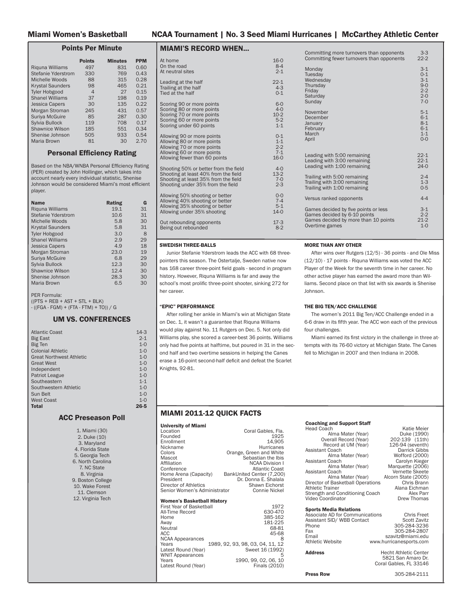#### Miami Women's Basketball NCAA Tournament | No. 3 Seed Miami Hurricanes | McCarthey Athletic Center

# A Look at the National Polls

The Hurricanes have or will play seven teams that are ranked or received votes in either the latest 2011-12 Associated Press (AP) or ESPN/USA Today national polls.

UM opponents are listed in bold below:

#### AP Poll (as of March 5)

| $25-6$<br>$24-8$<br>$22-9$<br>$24-8$<br>$25-6$<br>263<br>263<br>260<br>225<br>216<br>205<br>24-8<br>22-8<br>22-9<br>22-8<br>29-3<br>20-9<br>22-9<br>24-4<br>Nebraska<br>Georgetown<br>Louisville<br>Georgia<br>St. Bonaventure<br>205<br>110<br>Texas A&M<br><b>Rutgers</b><br>96<br>Princeton<br>23-9<br>South Carolina<br>78 |
|--------------------------------------------------------------------------------------------------------------------------------------------------------------------------------------------------------------------------------------------------------------------------------------------------------------------------------|
|--------------------------------------------------------------------------------------------------------------------------------------------------------------------------------------------------------------------------------------------------------------------------------------------------------------------------------|

#### OTHERS RECEIVING VOTES

West Virginia 67, Gonzaga 44, LSU 27,<br>FGCU 13, California 11, Dayton 10, DePaul<br>5, Arkansas 5, Brigham Young 5, Middle<br>Tennessee 3, San Diego State 3, Vanderbilt 2, UTEP 1

#### ESPN/USA Today Coaches' Poll (as of March 12)

|                | School           | Rec      | Points |
|----------------|------------------|----------|--------|
| 1              | Baylor (31)      | 34-0     | 775    |
| $\frac{2}{3}$  | Stanford         | $31 - 1$ | 736    |
|                | Notre Dame       | $30-3$   | 719    |
| 4              | Connecticut      | $29 - 4$ | 682    |
| 5              | Maryland         | $28-4$   | 653    |
| 6              | <b>Duke</b>      | 24-5     | 585    |
| $\overline{7}$ | <b>Tennessee</b> | 24-8     | 574    |
| 8              | Delaware         | $30 - 1$ | 563    |
| 9              | Miami (FL)       | 25-5     | 546    |
| 10             | Green Bay        | $30 - 1$ | 484    |
| 11             | Kentucky         | $25-6$   | 475    |
| 12             | Penn State       | 24-6     | 400    |
| 13             | Georgia Tech     | 24-8     | 327    |
| 14             | Texas A&M        | 22-10    | 313    |
| 15             | Georgetown       | $22 - 8$ | 265    |
| 15             | Purdue           | $24-8$   | 265    |
| 17             | Ohio State       | $25-6$   | 263    |
| 18             | Georgia          | $22 - 8$ | 258    |
| 19             | Louisville       | 22-9     | 254    |
| 20             | <b>Rutgers</b>   | $22-9$   | 191    |
| 21             | St. John's       | $22-9$   | 187    |
| 22             | Nebraska         | $24-8$   | 153    |
| 23             | DePaul           | 22-10    | 86     |
| 24             | Gonzaga          | 26-5     | 77     |
| 25             | St. Bonaventure  | 29-3     | 68     |
|                |                  |          |        |

#### OTHERS RECEIVING VOTES

FGCU 29, LSU 27, Middle Tennessee 26, Princeton 20, West Virginia 20, California 16, South Carolina 15, Vanderbilt 8, Arkansas 5, **Wake Forest 3**, Dayton 3, USC<br>2, UTEP 1, Fresno State 1

#### SHOWTIME

 Miami senior guard Riquna Williams has saved her best performances for the biggest games. Against No. 11 Rutgers, the 5-6 Pahokee, Fla. native poured in a career-high 36 points in the double-overtime victory. Then, against an undefeated and fifth-ranked Maryland team, Williams matched a career-best with eight three-pointers, leading her team to a 75-63 win.

#### A PAIR OF CAREER GAMES

 In Miami's own Holiday Tournament championship game, juniors Morgan Stroman and Stefanie Yderstrom reached then career highs in scoring 23 and 20 points respectively. For their efforts, each was named to the Miami Holiday All-Tournament Team.

#### BIG-TIME TEAM ON THE SMALL SCREEN

 The Nov. 17 meeting with Tennessee was the first of 12 regular season games that were televised this season - a program record. The remainder of Miami's games will be televised.

#### UM GREAT JAMES NAMED AN ACC LEGEND

 The Atlantic Coast Conference announced its eighth annual class of ACC Women's Basketball Legends and Miami great Tamara James will be among the honorees. The Legends Class of 2012 will be honored at the 2012 ACC Women's Basketball Tournament, which will be held March 1-4 at the Greensboro Coliseum.

 The all-time leading scorer in women's basketball for the Miami Hurricanes, Tamara James set a scoring record for men and women in her four-year career at Miami with 2,406 points. James was named first-team All-ACC in 2005 and 2006 and first-team All-Big East in 2004. She led the ACC in scoring both of years in the conference, averaging 22.3 in 2005 and 21.5 in 2006.

#### MORE HARDWARE FOR THE TROPHY CASE

 With back-to-back double-doubles in the Miami Holiday Tournament, Shenise Johnson led the Hurricanes to wins over Holy Cross and VCU. For her performance in the two-day event, the senior guard was named the Tournament's Most Outstanding Player. Earlier in the season, Johnson was named the Most Outstanding Player of the Great Alaska Shootout.

#### A QUARTER CENTURY OF FUTILITY... OVER

For the first time since Jan. 29, 1987, the Hurricanes defeated Florida State in Tallahassee. Miami had lost its last nine meetings in the state capital prior to its Jan. 15 win. Miami raced to a 19-point lead early in the seond half. However, the Seminoles rallied late to tie the game at 57. Stefanie Yderstrom nailed a corner three with 17 seconds left that proved to be the game-winner.

#### The Last Time It Happened

## **Points Scored**<br>Miami scored 100+ points

An opponent scored 100+ points 111 by (1/1) Maryland (1/10/07)<br>Miami scored 90+ points 91 vs. VCU (12/29/11) An opponent scored 90+ points 92 by (3/3) Tennessee (11/15/11)<br>Miami scored 80+ points 81 vs. Boston College (2/26/12) An opponent scored 80+ points

#### Margin of Victory

An opponent won by 50+ points Miami won by 40+ points 46 vs. Boston College (2/26/12) Miami won by 30+ points 46 vs. Boston College (2/26/12) An opponent won by 30+ points 40 by Maryland (1/31/08)

#### Overtime

Miami won in overtime 91-82 (2OT) vs. (11/11) Rutgers (12/5/11) Miami lost in overtime 66-65 (OT) vs. Wake Forest (3/4/10)

#### Rankings

Miami defeated a ranked opponent 76-74 at (8/8) Maryland (2/12/12) Miami lost to a ranked opponent 74-64 at (7/7) Duke (2/24/12)<br>Miami defeated a top 15 opponent 75-63 vs. (5/5) Maryland (1/12/12) Miami defeated a top 10 opponent<br>Miami lost to a top 10 opponent

Individual Points<br>A UM player scored 40+ points 42 by Renee Taylor at Houston (12/19/05) An opponent scored 40+ points 43 by Monique Currie of Duke (2/19/06) A UM player scored 30+ points 34 by Riquna Williams vs. (5/5) Maryland (1/12/12) An opponent scored 30+ points 36 by Brittany Cook of Virginia Tech (2/11/08)

#### Individual Rebounds

**Assists**<br>A UM player had 10+ assists

Steals<br>A UM player had 5+ steals l player had 5+ steals 5 by Riquna Williams vs. Florida State (2/19/12)<br>An opponent had 5+ steals 6 by Kirstyn Wright of Clemson (1/14/11)

Blocked Shots

A UM player had 5+ blocks 5 by Sylvia Bullock vs. Texas-Pan American (11/12/11) An opponent had  $5+$  blocks  $\overline{5}$  by Jacki Mann of Quinnipiac (12/28/09)

# AGAINST 2011-12 OPPONENTS

The Hurricanes are 149-151 all-time against their 2011-12 opponents. Below are the Canes all-time record against their opponents this season.

| <b>Texas-Pan American 1-0</b>   | <b>NC State 5-9</b>         |
|---------------------------------|-----------------------------|
| Tennessee 0-1                   | Georgia Tech 10-11          |
| <b>Prairie View A&amp;M 1-0</b> | <b>Maryland 5-8</b>         |
| <b>Alaska Anchorage 2-0</b>     | <b>Florida State 11-30</b>  |
| <b>USF 29-11</b>                | Virginia 3-7                |
| Longwood 1-0                    | <b>Virginia Tech 8-6</b>    |
| <b>Michigan State 2-2</b>       | <b>Wake Forest 5-7</b>      |
| <b>Rutgers 8-12</b>             | <b>Boston College 22-16</b> |
| <b>Ole Miss 4-3</b>             | Clemson 5-5                 |
| <b>Louislana at Monroe 1-1</b>  | Duke 0-9                    |
| Georgetown 15-9                 | <b>Idaho State 1-0</b>      |
| <b>Holy Cross 2-0</b>           | Gonzaga 1-0                 |
| <b>VCU 1-0</b>                  |                             |
| <b>Morgan State 1-0</b>         |                             |
| North Carolina 5-11             |                             |

ni scored 100+ points 103 vs. ULM (12/16/11)<br>
An opponent scored 100+ points 111 by (1/1) Maryland (1/10/07) mi scored 90+ points 91 vs. VCU (12/29/11)<br>An opponent scored 90+ points 92 by (3/3) Tennessee (11/15/11)  $M$  vs. Boston College ( $2/26/12$ )<br>81 by Wake Forest ( $3/2/12$ )

Miami won by 50+ points 64 vs. ULM (12/16/11)<br>An opponent won by 50+ points 58 by Maryland (1/10/07) An opponent won by 40+ points 40 by Maryland (1/31/08)

75-63 vs. (5/5) Maryland (1/12/12)<br>74-64 at (7/7) Duke (2/24/12) Miami lost to a top 15 opponent 74-64 at (7/7) Duke (2/24/12)<br>in defeated a top 10 opponent 76-74 at (8/8) Maryland (2/12/12) 74-64 at (7/7) Duke (2/24/12) Miami defeated a top 5 opponent 75-63 vs. (5/5) Maryland (1/12/12)<br>Miami lost to a top 5 opponent 92-76 at (3/3) Tennessee (11/15/11) 92-76 at (3/3) Tennessee (11/15/11)

A UM player had 20+ rebounds 21 by Tamara James vs. USF (11/22/02) An opponent had 20+ rebounds 22 by Crystal Langhorne of Maryland (2/17/05) A UM player had 15+ rebounds 17 by Shawnice Wilson at NC State (2/16/12)

An opponent 15+ rebounds 17 by Natasha Howard of FSU (1/15/12)

#### 10 by Riquna Williams at Cornell (12/21/09) An opponent had 10+ assists 11 by Emily Pollock of Austin Peay (11/28/08)

6 by Kirstyn Wright of Clemson (1/14/11)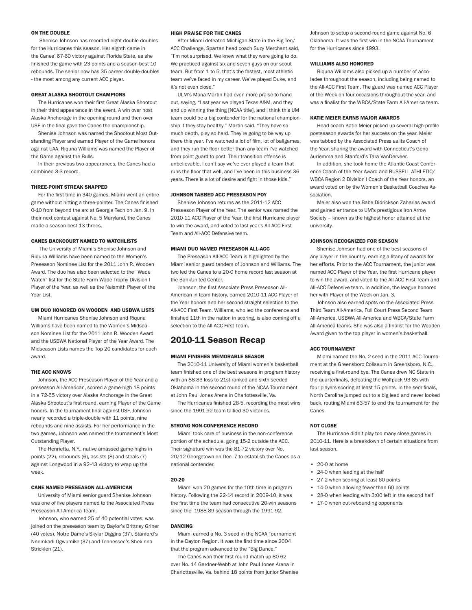#### Miami Women's Basketball NCAA Tournament | No. 3 Seed Miami Hurricanes | McCarthey Athletic Center

#### Points Per Minute

|                         | <b>Points</b> | <b>Minutes</b> | <b>PPM</b> |
|-------------------------|---------------|----------------|------------|
| Riguna Williams         | 497           | 831            | 0.60       |
| Stefanie Yderstrom      | 330           | 769            | 0.43       |
| Michelle Woods          | 88            | 315            | 0.28       |
| <b>Krystal Saunders</b> | 98            | 465            | 0.21       |
| <b>Tyler Hobgood</b>    | 4             | 27             | 0.15       |
| <b>Shanel Williams</b>  | 37            | 198            | 0.19       |
| <b>Jessica Capers</b>   | 30            | 135            | 0.22       |
| Morgan Stroman          | 245           | 431            | 0.57       |
| Suriya McGuire          | 85            | 287            | 0.30       |
| Sylvia Bullock          | 119           | 708            | 0.17       |
| <b>Shawnice Wilson</b>  | 185           | 551            | 0.34       |
| Shenise Johnson         | 505           | 933            | 0.54       |
| Maria Brown             | 81            | 30             | 2.70       |

#### **Personal Efficiency Rating**

Based on the NBA/WNBA Personal Efficiency Rating (PER) created by John Hollinger, which takes into account nearly every individual statistic, Shenise Johnson would be considered Miami's most efficient player.

| <b>Name</b>               | Rating | G  |
|---------------------------|--------|----|
| Riguna Williams           | 19.1   | 31 |
| <b>Stefanie Yderstrom</b> | 10.6   | 31 |
| Michelle Woods            | 5.8    | 30 |
| <b>Krystal Saunders</b>   | 5.8    | 31 |
| <b>Tyler Hobgood</b>      | 3.0    | 8  |
| <b>Shanel Williams</b>    | 2.9    | 29 |
| <b>Jessica Capers</b>     | 4.9    | 18 |
| Morgan Stroman            | 23.0   | 19 |
| Suriya McGuire            | 6.8    | 29 |
| Sylvia Bullock            | 12.3   | 30 |
| <b>Shawnice Wilson</b>    | 12.4   | 30 |
| Shenise Johnson           | 28.3   | 30 |
| Maria Brown               | 6.5    | 30 |

PER Formula:

 $((PTS + REB + AST + STL + BLK))$ - ((FGA - FGM) + (FTA - FTM) + TO)) / G

#### UM VS. CONFERENCES

| Atlantic Coast                  | $14-3$   |
|---------------------------------|----------|
| <b>Big East</b>                 | $2 - 1$  |
| <b>Big Ten</b>                  | $1 - 0$  |
| <b>Colonial Athletic</b>        | $1 - 0$  |
| <b>Great Northwest Athletic</b> | $1 - 0$  |
| <b>Great West</b>               | $1 - 0$  |
| Independent                     | $1 - 0$  |
| <b>Patriot League</b>           | $1 - 0$  |
| Southeastern                    | $1 - 1$  |
| Southwestern Athletic           | $1 - 0$  |
| Sun Belt                        | $1 - 0$  |
| <b>West Coast</b>               | $1 - 0$  |
| <b>Total</b>                    | $26 - 5$ |

#### ACC Preseason Poll

| 1. Miami (30)     |
|-------------------|
| 2. Duke (10)      |
| 3. Maryland       |
| 4. Florida State  |
| 5. Georgia Tech   |
| 6. North Carolina |
| 7. NC State       |
| 8. Virginia       |
| 9. Boston College |
| 10. Wake Forest   |
| 11. Clemson       |
| 12. Virginia Tech |

| At home                               | $16-0$   |
|---------------------------------------|----------|
| On the road                           | $8-4$    |
| At neutral sites                      | $2 - 1$  |
| Leading at the half                   | $22 - 1$ |
| Trailing at the half                  | $4 - 3$  |
| Tied at the half                      | $0 - 1$  |
| Scoring 90 or more points             | $6-0$    |
| Scoring 80 or more points             | $4 - 0$  |
| Scoring 70 or more points             | $10-2$   |
| Scoring 60 or more points             | $5-2$    |
| Scoring under 60 points               | $1 - 1$  |
| Allowing 90 or more points            | $0 - 1$  |
| Allowing 80 or more points            | $1 - 1$  |
| Allowing 70 or more points            | $2 - 2$  |
| Allowing 60 or more points            | $7 - 1$  |
| Allowing fewer than 60 points         | $16 - 0$ |
| Shooting 50% or better from the field | $4-0$    |
| Shooting at least 40% from the field  | $13-2$   |
| Shooting at least 35% from the field  | $7 - 0$  |
| Shooting under 35% from the field     | $2 - 3$  |
| Allowing 50% shooting or better       | $0 - 0$  |
| Allowing 40% shooting or better       | $7 - 4$  |
| Allowing 35% shooting or better       | $5 - 1$  |
| Allowing under 35% shooting           | $14-0$   |
| Out rebounding opponents              | $17-3$   |
| Being out rebounded                   | $8-2$    |

MIAMI'S RECORD WHEN...

#### SWEDISH THREE-BALLS

 Junior Stefanie Yderstrom leads the ACC with 68 threepointers this season. The Ostertalje, Sweden native now has 168 career three-point field goals - second in program history. However, Riquna Williams is far and away the school's most prolific three-point shooter, sinking 272 for her career.

#### "EPIC" PERFORMANCE

 After rolling her ankle in Miami's win at Michigan State on Dec. 1, it wasn't a guarantee that Riquna Williams would play against No. 11 Rutgers on Dec. 5. Not only did Williams play, she scored a career-best 36 points. Williams only had five points at halftime, but poured in 31 in the second half and two overtime sessions in helping the Canes erase a 16-point second-half deficit and defeat the Scarlet Knights, 92-81.

#### MIAMI 2011-12 QUICK FACTS

| <b>University of Miami</b>                  |                                  |
|---------------------------------------------|----------------------------------|
| Location                                    | Coral Gables, Fla.               |
| Founded                                     | 1925                             |
| Enrollment                                  | 14.905                           |
| Nickname                                    | <b>Hurricanes</b>                |
| Colors                                      | Orange, Green and White          |
| Mascot                                      | Sebastian the Ibis               |
| Affiliation                                 | <b>NCAA Division I</b>           |
| Conference                                  | <b>Atlantic Coast</b>            |
| Home Arena (Capacity)                       | BankUnited Center (7,200)        |
| President                                   | Dr. Donna E. Shalala             |
| Director of Athletics                       | Shawn Eichorst                   |
| Senior Women's Administrator                | Connie Nickel                    |
|                                             |                                  |
| Women's Basketball History                  | 1972                             |
| First Year of Basketball<br>All-Time Record | 630-470                          |
| Home                                        | 385-162                          |
| Away                                        | 181-225                          |
| Neutral                                     | 68-81                            |
| ACC                                         | 45-68                            |
| <b>NCAA Appearances</b>                     | 8                                |
| Years                                       | 1989, 92, 93, 98, 03, 04, 11, 12 |
| Latest Round (Year)                         | Sweet 16 (1992)                  |
| <b>WNIT Appearances</b>                     | 5                                |
| Years                                       | 1990, 99, 02, 06, 10             |
| Latest Round (Year)                         | Finals (2010)                    |
|                                             |                                  |
|                                             |                                  |

| Committing more turnovers than opponents<br>Committing fewer turnovers than opponents                                          | $3-3$<br>$22 - 2$                                                       |
|--------------------------------------------------------------------------------------------------------------------------------|-------------------------------------------------------------------------|
| Monday<br>Tuesday<br>Wednesday<br>Thursday<br>Friday<br>Saturday<br>Sunday                                                     | $3-1$<br>$0 - 1$<br>$3 - 1$<br>$9 - 0$<br>$2 - 2$<br>$2 - 0$<br>$7 - 0$ |
| November<br>December<br>January<br>February<br>March<br>April                                                                  | $5 - 1$<br>$6 - 1$<br>$8 - 1$<br>$6 - 1$<br>$1 - 1$<br>$O - O$          |
| Leading with 5:00 remaining<br>Leading with 3:00 remaining<br>Leading with 1:00 remaining                                      | $22 - 1$<br>$22 - 1$<br>$24-0$                                          |
| Trailing with 5:00 remaining<br>Trailing with 3:00 remaining<br>Trailing with 1:00 remaining                                   | $2 - 4$<br>$1-3$<br>$0 - 5$                                             |
| Versus ranked opponents                                                                                                        | $4 - 4$                                                                 |
| Games decided by five points or less<br>Games decided by 6-10 points<br>Games decided by more than 10 points<br>Overtime games | $3 - 1$<br>$2 - 2$<br>$21-2$<br>$1 - 0$                                 |
|                                                                                                                                |                                                                         |

#### MORE THAN ANY OTHER

 After wins over Rutgers (12/5) - 36 points - and Ole Miss (12/10) - 17 points - Riquna Williams was voted the ACC Player of the Week for the seventh time in her career. No other active player has earned the award more than Williams. Second place on that list with six awards is Shenise Johnson.

#### THE BIG TEN/ACC CHALLENGE

 The women's 2011 Big Ten/ACC Challenge ended in a 6-6 draw in its fifth year. The ACC won each of the previous four challenges.

Miami earned its first victory in the challenge in three attempts with its 76-60 victory at Michigan State. The Canes fell to Michigan in 2007 and then Indiana in 2008.

#### Coaching and Support Staff

| Guduning and Support Stan         |                     |
|-----------------------------------|---------------------|
| <b>Head Coach</b>                 | Katie Meier         |
| Alma Mater (Year)                 | Duke (1990)         |
| Overall Record (Year)             | 202-139 (11th)      |
| Record at UM (Year)               | 126-94 (seventh)    |
| <b>Assistant Coach</b>            | Darrick Gibbs       |
| Alma Mater (Year)                 | Wofford (2000)      |
| Assistant Coach                   | Carolyn Kieger      |
| Alma Mater (Year)                 | Marquette (2006)    |
| Assistant Coach                   | Vernette Skeete     |
| Alma Mater (Year)                 | Alcorn State (2005) |
| Director of Basketball Operations | Chris Brann         |
| Athletic Trainer                  | Alana Eichman       |
| Strength and Conditioning Coach   | Alex Parr           |
| Video Coordinator                 | <b>Drew Thomas</b>  |
| <b>Sports Media Relations</b>     |                     |
| Accoriate AD for Communications   | Chrie Froot         |

| Associate AD for Communications | <b>Chris Freet</b>           |
|---------------------------------|------------------------------|
| Assistant SID/WBB Contact       | <b>Scott Zavitz</b>          |
| Phone                           | 305-284-3236                 |
| Fax                             | 305-284-2807                 |
| Email                           | szavitz@miami.edu            |
| Athletic Website                | www.hurricanesports.com      |
|                                 |                              |
| <b>Address</b>                  | <b>Hecht Athletic Center</b> |

# 5821 San Amaro Dr.

Press Row 305-284-2111

Coral Gables, FL 33146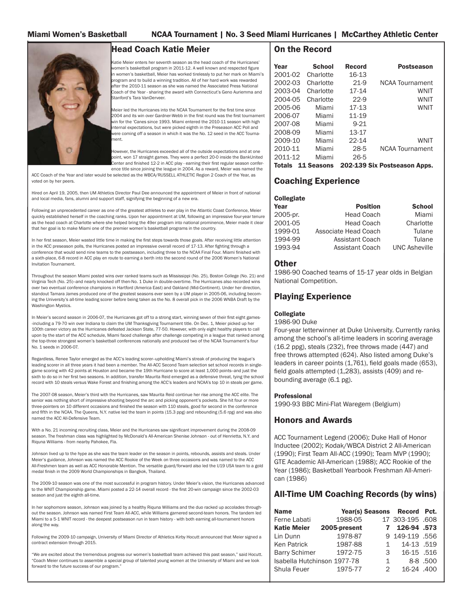Shenise Johnson has recorded eight double-doubles for the Hurricanes this season. Her eighth came in the Canes' 67-60 victory against Florida State, as she finished the game with 23 points and a season-best 10 rebounds. The senior now has 35 career double-doubles - the most among any current ACC player.

#### GREAT ALASKA SHOOTOUT CHAMPIONS

The Hurricanes won their first Great Alaska Shootout in their third appearance in the event. A win over host Alaska Anchorage in the opening round and then over USF in the final gave the Canes the championship.

 Shenise Johnson was named the Shootout Most Outstanding Player and earned Player of the Game honors against UAA. Riquna Williams was named the Player of the Game against the Bulls.

 In their previous two appearances, the Canes had a combined 3-3 record.

#### THREE-POINT STREAK SNAPPED

For the first time in 340 games, Miami went an entire game without hitting a three-pointer. The Canes finished 0-10 from beyond the arc at Georgia Tech on Jan. 9. In their next contest against No. 5 Maryland, the Canes made a season-best 13 threes.

#### CANES BACKCOURT NAMED TO WATCHLISTS

 The University of Miami's Shenise Johnson and Riquna Williams have been named to the Women's Preseason Nominee List for the 2011 John R. Wooden Award. The duo has also been selected to the "Wade Watch" list for the State Farm Wade Trophy Division I Player of the Year, as well as the Naismith Player of the Year List.

#### UM DUO HONORED ON WOODEN AND USBWA LISTS

 Miami Hurricanes Shenise Johnson and Riquna Williams have been named to the Women's Midseason Nominee List for the 2011 John R. Wooden Award and the USBWA National Player of the Year Award. The Midseason Lists names the Top 20 candidates for each award.

#### THE ACC KNOWS

 Johnson, the ACC Preseason Player of the Year and a preseason All-American, scored a game-high 18 points in a 72-55 victory over Alaska Anchorage in the Great Alaska Shootout's first round, earning Player of the Game honors. In the tournament final against USF, Johnson nearly recorded a triple-double with 11 points, nine rebounds and nine assists. For her performance in the two games, Johnson was named the tournament's Most Outstanding Player.

 The Henrietta, N.Y., native amassed game-highs in points (22), rebounds (6), assists (8) and steals (7) against Longwood in a 92-43 victory to wrap up the week.

#### CANE NAMED PRESEASON ALL-AMERICAN

 University of Miami senior guard Shenise Johnson was one of five players named to the Associated Press Preseason All-America Team.

 Johnson, who earned 25 of 40 potential votes, was joined on the preseason team by Baylor's Brittney Griner (40 votes), Notre Dame's Skylar Diggins (37), Stanford's Nnemkadi Ogwumike (37) and Tennessee's Shekinna Stricklen (21).

#### HIGH PRAISE FOR THE CANES

 After Miami defeated Michigan State in the Big Ten/ ACC Challenge, Spartan head coach Suzy Merchant said, "I'm not surprised. We knew what they were going to do. We practiced against six and seven guys on our scout team. But from 1 to 5, that's the fastest, most athletic team we've faced in my career. We've played Duke, and it's not even close."

 ULM's Mona Martin had even more praise to hand out, saying, "Last year we played Texas A&M, and they end up winning the thing [NCAA title], and I think this UM team could be a big contender for the national championship if they stay healthy," Martin said. "They have so much depth, play so hard. They're going to be way up there this year. I've watched a lot of film, lot of ballgames, and they run the floor better than any team I've watched from point guard to post. Their transition offense is unbelievable. I can't say we've ever played a team that runs the floor that well, and I've been in this business 36 years. There is a lot of desire and fight in those kids."

#### JOHNSON TABBED ACC PRESEASON POY

 Shenise Johnson returns as the 2011-12 ACC Preseason Player of the Year. The senior was named the 2010-11 ACC Player of the Year, the first Hurricane player to win the award, and voted to last year's All-ACC First Team and All-ACC Defensive team.

#### MIAMI DUO NAMED PRESEASON ALL-ACC

 The Preseason All-ACC Team is highlighted by the Miami senior guard tandem of Johnson and Williams. The two led the Canes to a 20-0 home record last season at the BankUnited Center.

Johnson, the first Associate Press Preseason All-American in team history, earned 2010-11 ACC Player of the Year honors and her second straight selection to the All-ACC First Team. Williams, who led the conference and finished 11th in the nation in scoring, is also coming off a selection to the All-ACC First Team.

#### 2010-11 Season Recap

#### MIAMI FINISHES MEMORABLE SEASON

 The 2010-11 University of Miami women's basketball team finished one of the best seasons in program history with an 88-83 loss to 21st-ranked and sixth seeded Oklahoma in the second round of the NCAA Tournament at John Paul Jones Arena in Charlottesville, Va.

The Hurricanes finished 28-5, recording the most wins since the 1991-92 team tallied 30 victories.

#### STRONG NON-CONFERENCE RECORD

 Miami took care of business in the non-conference portion of the schedule, going 15-2 outside the ACC. Their signature win was the 81-72 victory over No. 20/12 Georgetown on Dec. 7 to establish the Canes as a national contender.

#### 20-20

 Miami won 20 games for the 10th time in program history. Following the 22-14 record in 2009-10, it was the first time the team had consecutive 20-win seasons since the 1988-89 season through the 1991-92.

#### DANCING

 Miami earned a No. 3 seed in the NCAA Tournament in the Dayton Region. It was the first time since 2004 that the program advanced to the "Big Dance."

The Canes won their first round match up 80-62 over No. 14 Gardner-Webb at John Paul Jones Arena in Charlottesville, Va. behind 18 points from junior Shenise

ON THE DOUBLE **Example 2012 THE ART PRAISE FOR THE CANES Johnson to setup a second-round game against No. 6** Oklahoma. It was the first win in the NCAA Tournament for the Hurricanes since 1993.

#### WILLIAMS ALSO HONORED

 Riquna Williams also picked up a number of accolades throughout the season, including being named to the All-ACC First Team. The guard was named ACC Player of the Week on four occasions throughout the year, and was a finalist for the WBCA/State Farm All-America team.

#### KATIE MEIER EARNS MAJOR AWARDS

Head coach Katie Meier picked up several high-profile postseason awards for her success on the year. Meier was tabbed by the Associated Press as its Coach of the Year, sharing the award with Connecticut's Geno Auriemma and Stanford's Tara VanDerveer.

 In addition, she took home the Atlantic Coast Conference Coach of the Year Award and RUSSELL ATHLETIC/ WBCA Region 2 Division I Coach of the Year honors, an award voted on by the Women's Basketball Coaches Association.

 Meier also won the Babe Didrickson Zaharias award and gained entrance to UM's prestigious Iron Arrow Society – known as the highest honor attained at the university.

#### JOHNSON RECOGNIZED FOR SEASON

 Shenise Johnson had one of the best seasons of any player in the country, earning a litany of awards for her efforts. Prior to the ACC Tournament, the junior was named ACC Player of the Year, the first Hurricane player to win the award, and voted to the All-ACC First Team and All-ACC Defensive team. In addition, the league honored her with Player of the Week on Jan. 3.

 Johnson also earned spots on the Associated Press Third Team All-America, Full Court Press Second Team All-America, USBWA All-America and WBCA/State Farm All-America teams. She was also a finalist for the Wooden Award given to the top player in women's basketball.

#### ACC TOURNAMENT

 Miami earned the No. 2 seed in the 2011 ACC Tournament at the Greensboro Coliseum in Greensboro, N.C., receiving a first-round bye. The Canes drew NC State in the quarterfinals, defeating the Wolfpack 93-85 with four players scoring at least 15 points. In the semifinals, North Carolina jumped out to a big lead and never looked back, routing Miami 83-57 to end the tournament for the Canes.

#### NOT CLOSE

The Hurricane didn't play too many close games in 2010-11. Here is a breakdown of certain situations from last season.

- 20-0 at home
- 24-0 when leading at the half
- 27-2 when scoring at least 60 points
- 14-0 when allowing fewer than 60 points
- 28-0 when leading with 3:00 left in the second half
- 17-0 when out-rebounding opponents